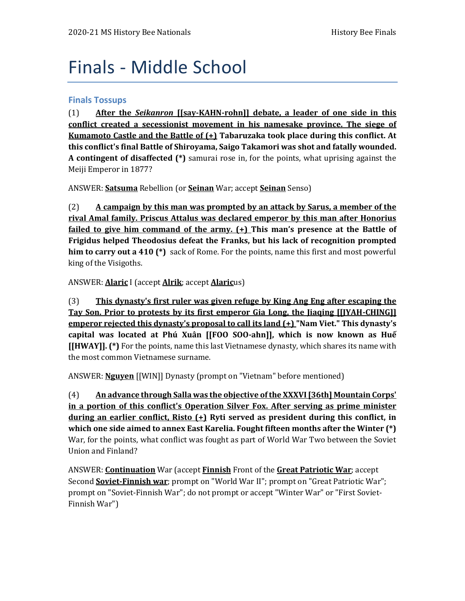# Finals - Middle School

### **Finals Tossups**

(1) **After the** *Seikanron* **[[say-KAHN-rohn]] debate, a leader of one side in this conflict created a secessionist movement in his namesake province. The siege of Kumamoto Castle and the Battle of (+) Tabaruzaka took place during this conflict. At this conflict's final Battle of Shiroyama, Saigo Takamori was shot and fatally wounded. A contingent of disaffected (\*)** samurai rose in, for the points, what uprising against the Meiji Emperor in 1877?

ANSWER: **Satsuma** Rebellion (or **Seinan** War; accept **Seinan** Senso)

(2) **A campaign by this man was prompted by an attack by Sarus, a member of the rival Amal family. Priscus Attalus was declared emperor by this man after Honorius failed to give him command of the army. (+) This man's presence at the Battle of Frigidus helped Theodosius defeat the Franks, but his lack of recognition prompted him to carry out a 410 (\*)** sack of Rome. For the points, name this first and most powerful king of the Visigoths.

ANSWER: **Alaric** I (accept **Alrik**; accept **Alaric**us)

(3) **This dynasty's first ruler was given refuge by King Ang Eng after escaping the Tay Son. Prior to protests by its first emperor Gia Long, the Jiaqing [[JYAH-CHING]] emperor rejected this dynasty's proposal to call its land (+) "Nam Viet." This dynasty's capital was located at Phú Xuân [[FOO SOO-ahn]], which is now known as Huế [[HWAY]]. (\*)** For the points, name this last Vietnamese dynasty, which shares its name with the most common Vietnamese surname.

ANSWER: **Nguyen** [[WIN]] Dynasty (prompt on "Vietnam" before mentioned)

(4) **An advance through Salla was the objective of the XXXVI [36th] Mountain Corps' in a portion of this conflict's Operation Silver Fox. After serving as prime minister during an earlier conflict, Risto (+) Ryti served as president during this conflict, in which one side aimed to annex East Karelia. Fought fifteen months after the Winter (\*)** War, for the points, what conflict was fought as part of World War Two between the Soviet Union and Finland?

ANSWER: **Continuation** War (accept **Finnish** Front of the **Great Patriotic War**; accept Second **Soviet-Finnish war**; prompt on "World War II"; prompt on "Great Patriotic War"; prompt on "Soviet-Finnish War"; do not prompt or accept "Winter War" or "First Soviet-Finnish War")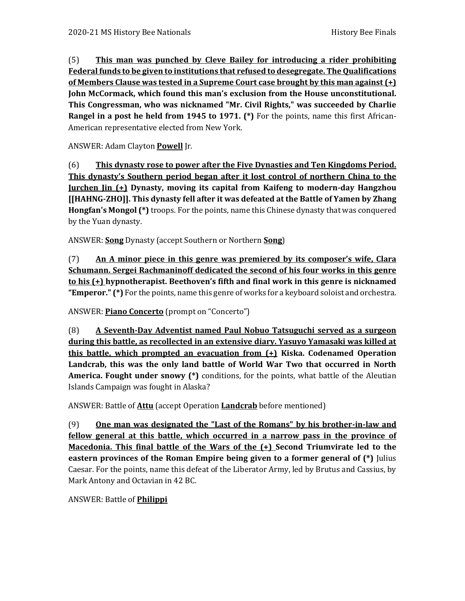(5) **This man was punched by Cleve Bailey for introducing a rider prohibiting Federal funds to be given to institutions that refused to desegregate. The Qualifications of Members Clause was tested in a Supreme Court case brought by this man against (+) John McCormack, which found this man's exclusion from the House unconstitutional. This Congressman, who was nicknamed "Mr. Civil Rights," was succeeded by Charlie Rangel in a post he held from 1945 to 1971. (\*)** For the points, name this first African-American representative elected from New York.

ANSWER: Adam Clayton **Powell** Jr.

(6) **This dynasty rose to power after the Five Dynasties and Ten Kingdoms Period. This dynasty's Southern period began after it lost control of northern China to the Jurchen Jin (+) Dynasty, moving its capital from Kaifeng to modern-day Hangzhou [[HAHNG-ZHO]]. This dynasty fell after it was defeated at the Battle of Yamen by Zhang Hongfan's Mongol (\*)** troops. For the points, name this Chinese dynasty that was conquered by the Yuan dynasty.

ANSWER: **Song** Dynasty (accept Southern or Northern **Song**)

(7) **An A minor piece in this genre was premiered by its composer's wife, Clara Schumann. Sergei Rachmaninoff dedicated the second of his four works in this genre to his (+) hypnotherapist. Beethoven's fifth and final work in this genre is nicknamed "Emperor." (\*)** For the points, name this genre of works for a keyboard soloist and orchestra.

ANSWER: **Piano Concerto** (prompt on "Concerto")

(8) **A Seventh-Day Adventist named Paul Nobuo Tatsuguchi served as a surgeon during this battle, as recollected in an extensive diary. Yasuyo Yamasaki was killed at this battle, which prompted an evacuation from (+) Kiska. Codenamed Operation Landcrab, this was the only land battle of World War Two that occurred in North America. Fought under snowy (\*)** conditions, for the points, what battle of the Aleutian Islands Campaign was fought in Alaska?

ANSWER: Battle of **Attu** (accept Operation **Landcrab** before mentioned)

(9) **One man was designated the "Last of the Romans" by his brother-in-law and fellow general at this battle, which occurred in a narrow pass in the province of Macedonia. This final battle of the Wars of the (+) Second Triumvirate led to the eastern provinces of the Roman Empire being given to a former general of (\*)** Julius Caesar. For the points, name this defeat of the Liberator Army, led by Brutus and Cassius, by Mark Antony and Octavian in 42 BC.

ANSWER: Battle of **Philippi**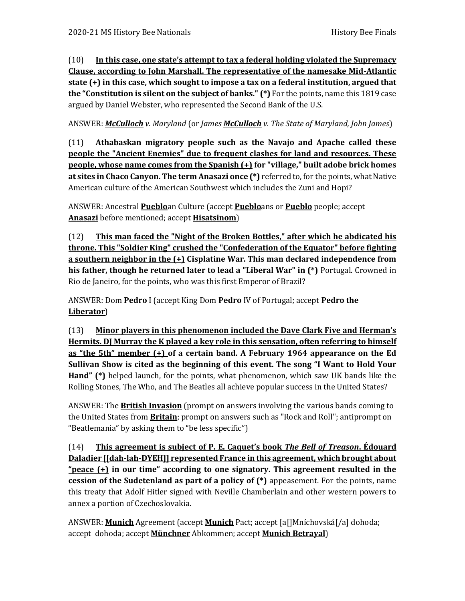(10) **In this case, one state's attempt to tax a federal holding violated the Supremacy Clause, according to John Marshall. The representative of the namesake Mid-Atlantic state (+) in this case, which sought to impose a tax on a federal institution, argued that the "Constitution is silent on the subject of banks." (\*)** For the points, name this 1819 case argued by Daniel Webster, who represented the Second Bank of the U.S.

ANSWER: *McCulloch v. Maryland* (or *James McCulloch v. The State of Maryland, John James*)

(11) **Athabaskan migratory people such as the Navajo and Apache called these people the "Ancient Enemies" due to frequent clashes for land and resources. These people, whose name comes from the Spanish (+) for "village," built adobe brick homes at sites in Chaco Canyon. The term Anasazi once (\*)** referred to, for the points, what Native American culture of the American Southwest which includes the Zuni and Hopi?

ANSWER: Ancestral **Pueblo**an Culture (accept **Pueblo**ans or **Pueblo** people; accept **Anasazi** before mentioned; accept **Hisatsinom**)

(12) **This man faced the "Night of the Broken Bottles," after which he abdicated his throne. This "Soldier King" crushed the "Confederation of the Equator" before fighting a southern neighbor in the (+) Cisplatine War. This man declared independence from his father, though he returned later to lead a "Liberal War" in (\*)** Portugal. Crowned in Rio de Janeiro, for the points, who was this first Emperor of Brazil?

ANSWER: Dom **Pedro** I (accept King Dom **Pedro** IV of Portugal; accept **Pedro the Liberator**)

(13) **Minor players in this phenomenon included the Dave Clark Five and Herman's Hermits. DJ Murray the K played a key role in this sensation, often referring to himself as "the 5th" member (+) of a certain band. A February 1964 appearance on the Ed Sullivan Show is cited as the beginning of this event. The song "I Want to Hold Your Hand" (\*)** helped launch, for the points, what phenomenon, which saw UK bands like the Rolling Stones, The Who, and The Beatles all achieve popular success in the United States?

ANSWER: The **British Invasion** (prompt on answers involving the various bands coming to the United States from **Britain**; prompt on answers such as "Rock and Roll"; antiprompt on "Beatlemania" by asking them to "be less specific")

(14) **This agreement is subject of P. E. Caquet's book** *The Bell of Treason***. Édouard Daladier [[dah-lah-DYEH]] represented France in this agreement, which brought about "peace (+) in our time" according to one signatory. This agreement resulted in the cession of the Sudetenland as part of a policy of (\*)** appeasement. For the points, name this treaty that Adolf Hitler signed with Neville Chamberlain and other western powers to annex a portion of Czechoslovakia.

ANSWER: **Munich** Agreement (accept **Munich** Pact; accept [a[]Mníchovská[/a] dohoda; accept dohoda; accept **Münchner** Abkommen; accept **Munich Betrayal**)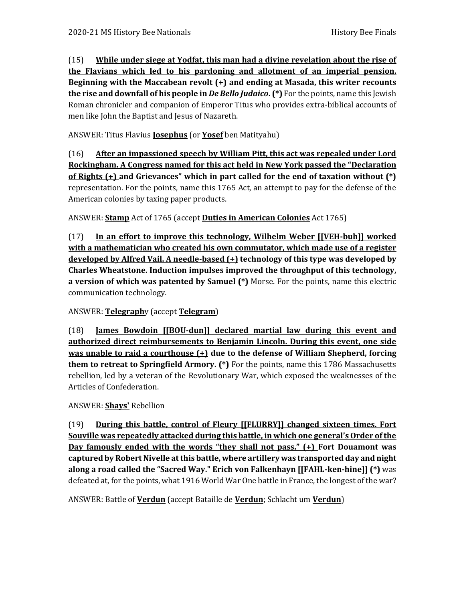(15) **While under siege at Yodfat, this man had a divine revelation about the rise of the Flavians which led to his pardoning and allotment of an imperial pension. Beginning with the Maccabean revolt (+) and ending at Masada, this writer recounts the rise and downfall of his people in** *De Bello Judaico***. (\*)** For the points, name this Jewish Roman chronicler and companion of Emperor Titus who provides extra-biblical accounts of men like John the Baptist and Jesus of Nazareth.

ANSWER: Titus Flavius **Josephus** (or **Yosef** ben Matityahu)

(16) **After an impassioned speech by William Pitt, this act was repealed under Lord Rockingham. A Congress named for this act held in New York passed the "Declaration of Rights (+) and Grievances" which in part called for the end of taxation without (\*)** representation. For the points, name this 1765 Act, an attempt to pay for the defense of the American colonies by taxing paper products.

ANSWER: **Stamp** Act of 1765 (accept **Duties in American Colonies** Act 1765)

(17) **In an effort to improve this technology, Wilhelm Weber [[VEH-buh]] worked with a mathematician who created his own commutator, which made use of a register developed by Alfred Vail. A needle-based (+) technology of this type was developed by Charles Wheatstone. Induction impulses improved the throughput of this technology, a version of which was patented by Samuel (\*)** Morse. For the points, name this electric communication technology.

### ANSWER: **Telegraph**y (accept **Telegram**)

(18) **James Bowdoin [[BOU-dun]] declared martial law during this event and authorized direct reimbursements to Benjamin Lincoln. During this event, one side was unable to raid a courthouse (+) due to the defense of William Shepherd, forcing them to retreat to Springfield Armory. (\*)** For the points, name this 1786 Massachusetts rebellion, led by a veteran of the Revolutionary War, which exposed the weaknesses of the Articles of Confederation.

### ANSWER: **Shays'** Rebellion

(19) **During this battle, control of Fleury [[FLURRY]] changed sixteen times. Fort Souville was repeatedly attacked during this battle, in which one general's Order of the Day famously ended with the words "they shall not pass." (+) Fort Douamont was captured by Robert Nivelle at this battle, where artillery was transported day and night along a road called the "Sacred Way." Erich von Falkenhayn [[FAHL-ken-hine]] (\*)** was defeated at, for the points, what 1916 World War One battle in France, the longest of the war?

ANSWER: Battle of **Verdun** (accept Bataille de **Verdun**; Schlacht um **Verdun**)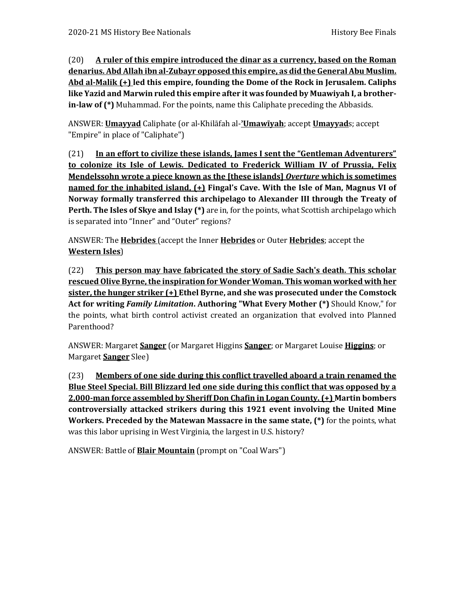(20) **A ruler of this empire introduced the dinar as a currency, based on the Roman denarius. Abd Allah ibn al-Zubayr opposed this empire, as did the General Abu Muslim. Abd al-Malik (+) led this empire, founding the Dome of the Rock in Jerusalem. Caliphs like Yazid and Marwin ruled this empire after it was founded by Muawiyah I, a brotherin-law of (\*)** Muhammad. For the points, name this Caliphate preceding the Abbasids.

ANSWER: **Umayyad** Caliphate (or al-Khilāfah al-**ʾUmawīyah**; accept **Umayyad**s; accept "Empire" in place of "Caliphate")

(21) **In an effort to civilize these islands, James I sent the "Gentleman Adventurers" to colonize its Isle of Lewis. Dedicated to Frederick William IV of Prussia, Felix Mendelssohn wrote a piece known as the [these islands]** *Overture* **which is sometimes named for the inhabited island, (+) Fingal's Cave. With the Isle of Man, Magnus VI of Norway formally transferred this archipelago to Alexander III through the Treaty of Perth. The Isles of Skye and Islay (\*)** are in, for the points, what Scottish archipelago which is separated into "Inner" and "Outer" regions?

ANSWER: The **Hebrides** (accept the Inner **Hebrides** or Outer **Hebrides**; accept the **Western Isles**)

(22) **This person may have fabricated the story of Sadie Sach's death. This scholar rescued Olive Byrne, the inspiration for Wonder Woman. This woman worked with her sister, the hunger striker (+) Ethel Byrne, and she was prosecuted under the Comstock Act for writing** *Family Limitation***. Authoring "What Every Mother (\*)** Should Know," for the points, what birth control activist created an organization that evolved into Planned Parenthood?

ANSWER: Margaret **Sanger** (or Margaret Higgins **Sanger**; or Margaret Louise **Higgins**; or Margaret **Sanger** Slee)

(23) **Members of one side during this conflict travelled aboard a train renamed the Blue Steel Special. Bill Blizzard led one side during this conflict that was opposed by a 2,000-man force assembled by Sheriff Don Chafin in Logan County. (+) Martin bombers controversially attacked strikers during this 1921 event involving the United Mine Workers. Preceded by the Matewan Massacre in the same state, (\*)** for the points, what was this labor uprising in West Virginia, the largest in U.S. history?

ANSWER: Battle of **Blair Mountain** (prompt on "Coal Wars")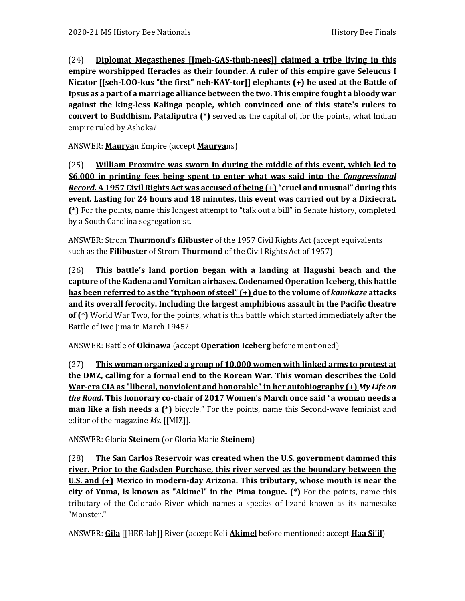(24) **Diplomat Megasthenes [[meh-GAS-thuh-nees]] claimed a tribe living in this empire worshipped Heracles as their founder. A ruler of this empire gave Seleucus I Nicator [[seh-LOO-kus "the first" neh-KAY-tor]] elephants (+) he used at the Battle of Ipsus as a part of a marriage alliance between the two. This empire fought a bloody war against the king-less Kalinga people, which convinced one of this state's rulers to convert to Buddhism. Pataliputra (\*)** served as the capital of, for the points, what Indian empire ruled by Ashoka?

ANSWER: **Maurya**n Empire (accept **Maurya**ns)

(25) **William Proxmire was sworn in during the middle of this event, which led to \$6,000 in printing fees being spent to enter what was said into the** *Congressional Record***. A 1957 Civil Rights Act was accused of being (+) "cruel and unusual" during this event. Lasting for 24 hours and 18 minutes, this event was carried out by a Dixiecrat. (\*)** For the points, name this longest attempt to "talk out a bill" in Senate history, completed by a South Carolina segregationist.

ANSWER: Strom **Thurmond**'s **filibuster** of the 1957 Civil Rights Act (accept equivalents such as the **Filibuster** of Strom **Thurmond** of the Civil Rights Act of 1957)

(26) **This battle's land portion began with a landing at Hagushi beach and the capture of the Kadena and Yomitan airbases. Codenamed Operation Iceberg, this battle has been referred to as the "typhoon of steel" (+) due to the volume of** *kamikaze* **attacks and its overall ferocity. Including the largest amphibious assault in the Pacific theatre of (\*)** World War Two, for the points, what is this battle which started immediately after the Battle of Iwo Jima in March 1945?

ANSWER: Battle of **Okinawa** (accept **Operation Iceberg** before mentioned)

(27) **This woman organized a group of 10,000 women with linked arms to protest at the DMZ, calling for a formal end to the Korean War. This woman describes the Cold War-era CIA as "liberal, nonviolent and honorable" in her autobiography (+)** *My Life on the Road***. This honorary co-chair of 2017 Women's March once said "a woman needs a man like a fish needs a (\*)** bicycle." For the points, name this Second-wave feminist and editor of the magazine *Ms.* [[MIZ]].

ANSWER: Gloria **Steinem** (or Gloria Marie **Steinem**)

(28) **The San Carlos Reservoir was created when the U.S. government dammed this river. Prior to the Gadsden Purchase, this river served as the boundary between the U.S. and (+) Mexico in modern-day Arizona. This tributary, whose mouth is near the city of Yuma, is known as "Akimel" in the Pima tongue. (\*)** For the points, name this tributary of the Colorado River which names a species of lizard known as its namesake "Monster."

ANSWER: **Gila** [[HEE-lah]] River (accept Keli **Akimel** before mentioned; accept **Haa Si'il**)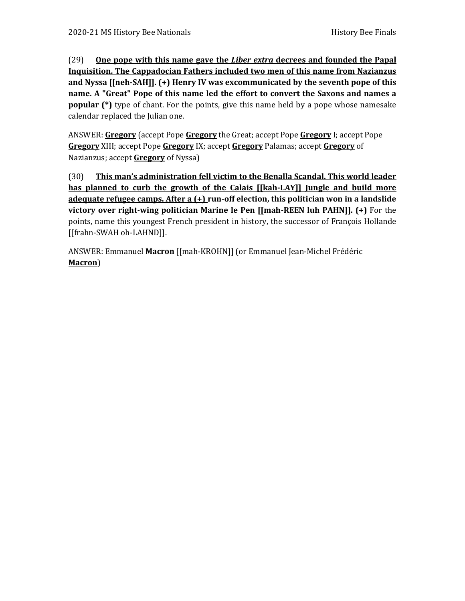(29) **One pope with this name gave the** *Liber extra* **decrees and founded the Papal Inquisition. The Cappadocian Fathers included two men of this name from Nazianzus and Nyssa [[neh-SAH]]. (+) Henry IV was excommunicated by the seventh pope of this name. A "Great" Pope of this name led the effort to convert the Saxons and names a popular** (\*) type of chant. For the points, give this name held by a pope whose namesake calendar replaced the Julian one.

ANSWER: **Gregory** (accept Pope **Gregory** the Great; accept Pope **Gregory** I; accept Pope **Gregory** XIII; accept Pope **Gregory** IX; accept **Gregory** Palamas; accept **Gregory** of Nazianzus; accept **Gregory** of Nyssa)

(30) **This man's administration fell victim to the Benalla Scandal. This world leader has planned to curb the growth of the Calais [[kah-LAY]] Jungle and build more adequate refugee camps. After a (+) run-off election, this politician won in a landslide victory over right-wing politician Marine le Pen [[mah-REEN luh PAHN]]. (+)** For the points, name this youngest French president in history, the successor of François Hollande [[frahn-SWAH oh-LAHND]].

ANSWER: Emmanuel **Macron** [[mah-KROHN]] (or Emmanuel Jean-Michel Frédéric **Macron**)